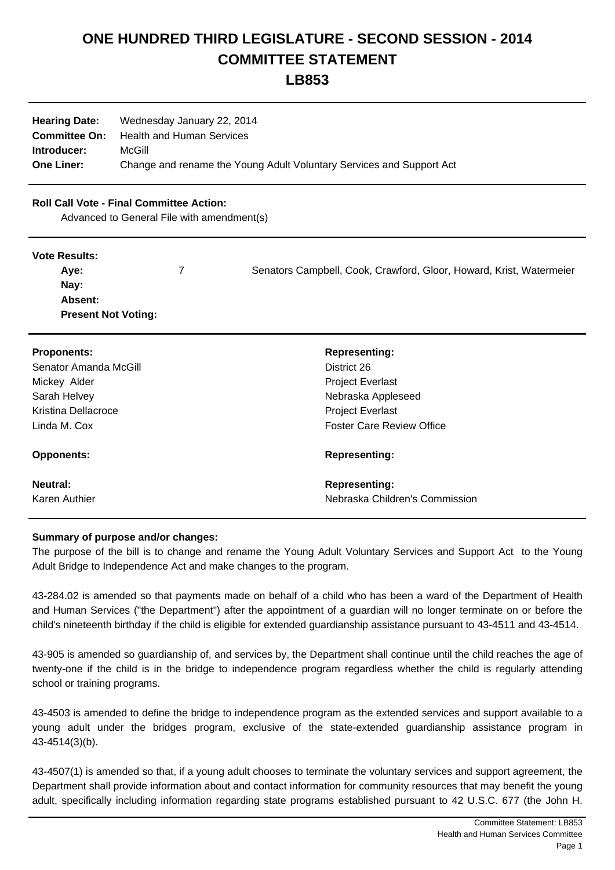# **ONE HUNDRED THIRD LEGISLATURE - SECOND SESSION - 2014 COMMITTEE STATEMENT**

**LB853**

| <b>Hearing Date:</b> | Wednesday January 22, 2014                                           |
|----------------------|----------------------------------------------------------------------|
| <b>Committee On:</b> | Health and Human Services                                            |
| Introducer:          | McGill                                                               |
| <b>One Liner:</b>    | Change and rename the Young Adult Voluntary Services and Support Act |

### **Roll Call Vote - Final Committee Action:**

Advanced to General File with amendment(s)

#### **Vote Results:**

| Ave:                       | Senators Campbell, Cook, Crawford, Gloor, Howard, Krist, Watermeier |
|----------------------------|---------------------------------------------------------------------|
| Nay:                       |                                                                     |
| <b>Absent:</b>             |                                                                     |
| <b>Present Not Voting:</b> |                                                                     |

| <b>Proponents:</b>    | <b>Representing:</b>             |
|-----------------------|----------------------------------|
| Senator Amanda McGill | District 26                      |
| Mickey Alder          | <b>Project Everlast</b>          |
| Sarah Helvey          | Nebraska Appleseed               |
| Kristina Dellacroce   | <b>Project Everlast</b>          |
| Linda M. Cox          | <b>Foster Care Review Office</b> |
| <b>Opponents:</b>     | <b>Representing:</b>             |
| <b>Neutral:</b>       | <b>Representing:</b>             |
| Karen Authier         | Nebraska Children's Commission   |

## **Summary of purpose and/or changes:**

The purpose of the bill is to change and rename the Young Adult Voluntary Services and Support Act to the Young Adult Bridge to Independence Act and make changes to the program.

43-284.02 is amended so that payments made on behalf of a child who has been a ward of the Department of Health and Human Services ("the Department") after the appointment of a guardian will no longer terminate on or before the child's nineteenth birthday if the child is eligible for extended guardianship assistance pursuant to 43-4511 and 43-4514.

43-905 is amended so guardianship of, and services by, the Department shall continue until the child reaches the age of twenty-one if the child is in the bridge to independence program regardless whether the child is regularly attending school or training programs.

43-4503 is amended to define the bridge to independence program as the extended services and support available to a young adult under the bridges program, exclusive of the state-extended guardianship assistance program in 43-4514(3)(b).

43-4507(1) is amended so that, if a young adult chooses to terminate the voluntary services and support agreement, the Department shall provide information about and contact information for community resources that may benefit the young adult, specifically including information regarding state programs established pursuant to 42 U.S.C. 677 (the John H.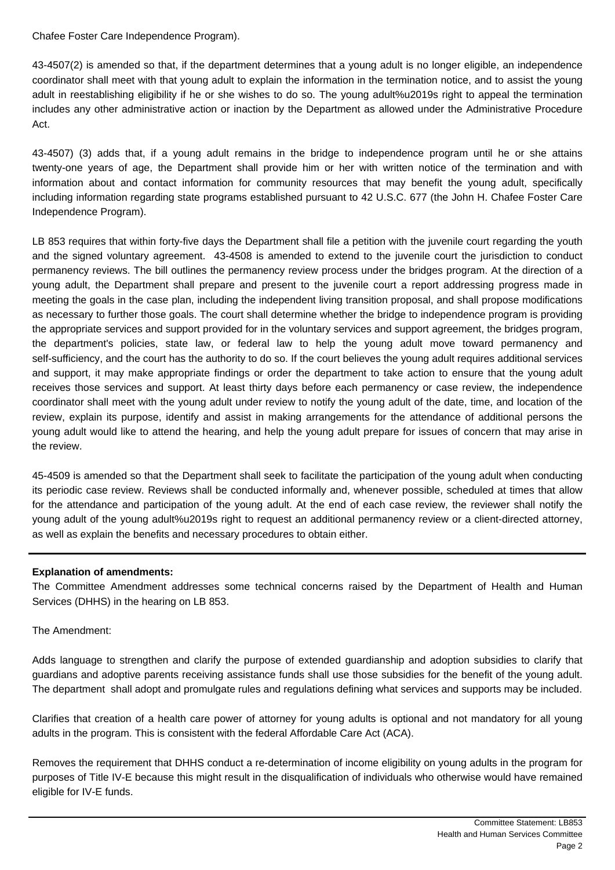Chafee Foster Care Independence Program).

43-4507(2) is amended so that, if the department determines that a young adult is no longer eligible, an independence coordinator shall meet with that young adult to explain the information in the termination notice, and to assist the young adult in reestablishing eligibility if he or she wishes to do so. The young adult%u2019s right to appeal the termination includes any other administrative action or inaction by the Department as allowed under the Administrative Procedure Act.

43-4507) (3) adds that, if a young adult remains in the bridge to independence program until he or she attains twenty-one years of age, the Department shall provide him or her with written notice of the termination and with information about and contact information for community resources that may benefit the young adult, specifically including information regarding state programs established pursuant to 42 U.S.C. 677 (the John H. Chafee Foster Care Independence Program).

LB 853 requires that within forty-five days the Department shall file a petition with the juvenile court regarding the youth and the signed voluntary agreement. 43-4508 is amended to extend to the juvenile court the jurisdiction to conduct permanency reviews. The bill outlines the permanency review process under the bridges program. At the direction of a young adult, the Department shall prepare and present to the juvenile court a report addressing progress made in meeting the goals in the case plan, including the independent living transition proposal, and shall propose modifications as necessary to further those goals. The court shall determine whether the bridge to independence program is providing the appropriate services and support provided for in the voluntary services and support agreement, the bridges program, the department's policies, state law, or federal law to help the young adult move toward permanency and self-sufficiency, and the court has the authority to do so. If the court believes the young adult requires additional services and support, it may make appropriate findings or order the department to take action to ensure that the young adult receives those services and support. At least thirty days before each permanency or case review, the independence coordinator shall meet with the young adult under review to notify the young adult of the date, time, and location of the review, explain its purpose, identify and assist in making arrangements for the attendance of additional persons the young adult would like to attend the hearing, and help the young adult prepare for issues of concern that may arise in the review.

45-4509 is amended so that the Department shall seek to facilitate the participation of the young adult when conducting its periodic case review. Reviews shall be conducted informally and, whenever possible, scheduled at times that allow for the attendance and participation of the young adult. At the end of each case review, the reviewer shall notify the young adult of the young adult%u2019s right to request an additional permanency review or a client-directed attorney, as well as explain the benefits and necessary procedures to obtain either.

#### **Explanation of amendments:**

The Committee Amendment addresses some technical concerns raised by the Department of Health and Human Services (DHHS) in the hearing on LB 853.

The Amendment:

Adds language to strengthen and clarify the purpose of extended guardianship and adoption subsidies to clarify that guardians and adoptive parents receiving assistance funds shall use those subsidies for the benefit of the young adult. The department shall adopt and promulgate rules and regulations defining what services and supports may be included.

Clarifies that creation of a health care power of attorney for young adults is optional and not mandatory for all young adults in the program. This is consistent with the federal Affordable Care Act (ACA).

Removes the requirement that DHHS conduct a re-determination of income eligibility on young adults in the program for purposes of Title IV-E because this might result in the disqualification of individuals who otherwise would have remained eligible for IV-E funds.